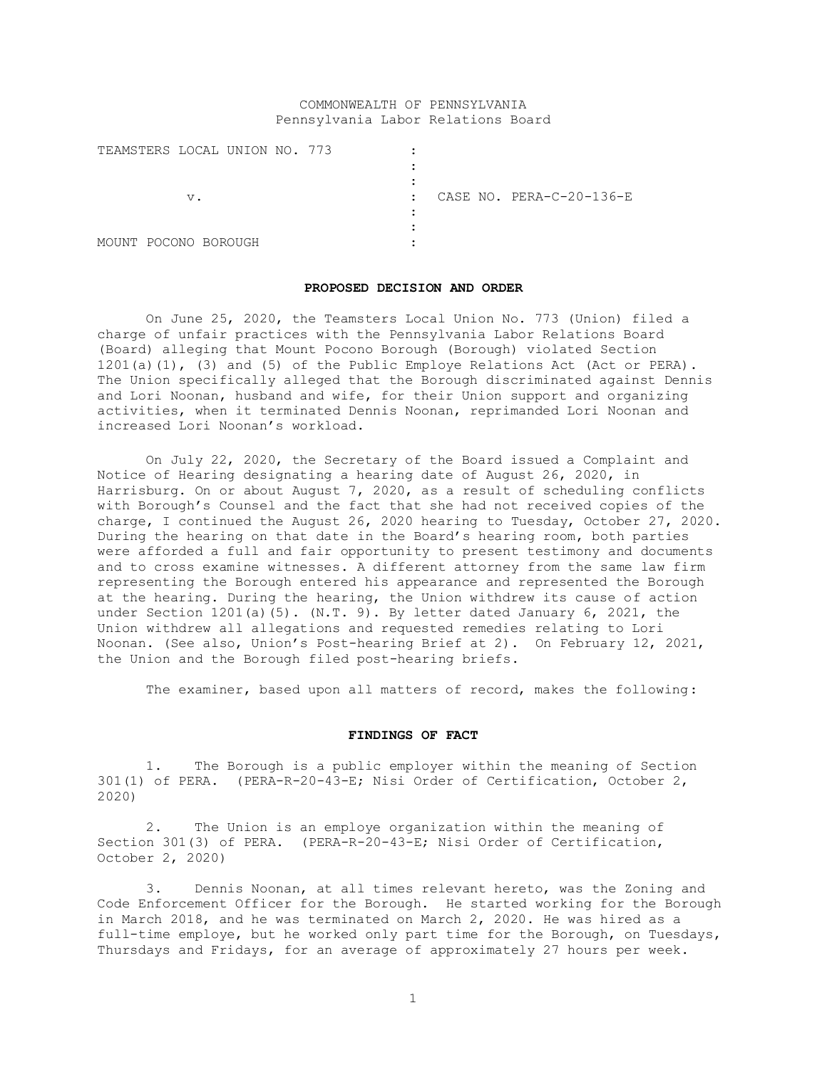# COMMONWEALTH OF PENNSYLVANIA Pennsylvania Labor Relations Board

| TEAMSTERS LOCAL UNION NO. 773 |                                          |
|-------------------------------|------------------------------------------|
|                               |                                          |
|                               |                                          |
| v.                            | CASE NO. PERA-C-20-136-E<br>$\mathbb{R}$ |
|                               |                                          |
|                               |                                          |
| MOUNT POCONO BOROUGH          |                                          |

#### **PROPOSED DECISION AND ORDER**

On June 25, 2020, the Teamsters Local Union No. 773 (Union) filed a charge of unfair practices with the Pennsylvania Labor Relations Board (Board) alleging that Mount Pocono Borough (Borough) violated Section 1201(a)(1), (3) and (5) of the Public Employe Relations Act (Act or PERA). The Union specifically alleged that the Borough discriminated against Dennis and Lori Noonan, husband and wife, for their Union support and organizing activities, when it terminated Dennis Noonan, reprimanded Lori Noonan and increased Lori Noonan's workload.

On July 22, 2020, the Secretary of the Board issued a Complaint and Notice of Hearing designating a hearing date of August 26, 2020, in Harrisburg. On or about August 7, 2020, as a result of scheduling conflicts with Borough's Counsel and the fact that she had not received copies of the charge, I continued the August 26, 2020 hearing to Tuesday, October 27, 2020. During the hearing on that date in the Board's hearing room, both parties were afforded a full and fair opportunity to present testimony and documents and to cross examine witnesses. A different attorney from the same law firm representing the Borough entered his appearance and represented the Borough at the hearing. During the hearing, the Union withdrew its cause of action under Section 1201(a)(5). (N.T. 9). By letter dated January 6, 2021, the Union withdrew all allegations and requested remedies relating to Lori Noonan. (See also, Union's Post-hearing Brief at 2). On February 12, 2021, the Union and the Borough filed post-hearing briefs.

The examiner, based upon all matters of record, makes the following:

## **FINDINGS OF FACT**

1. The Borough is a public employer within the meaning of Section 301(1) of PERA. (PERA-R-20-43-E; Nisi Order of Certification, October 2, 2020)

2. The Union is an employe organization within the meaning of Section 301(3) of PERA. (PERA-R-20-43-E; Nisi Order of Certification, October 2, 2020)

3. Dennis Noonan, at all times relevant hereto, was the Zoning and Code Enforcement Officer for the Borough. He started working for the Borough in March 2018, and he was terminated on March 2, 2020. He was hired as a full-time employe, but he worked only part time for the Borough, on Tuesdays, Thursdays and Fridays, for an average of approximately 27 hours per week.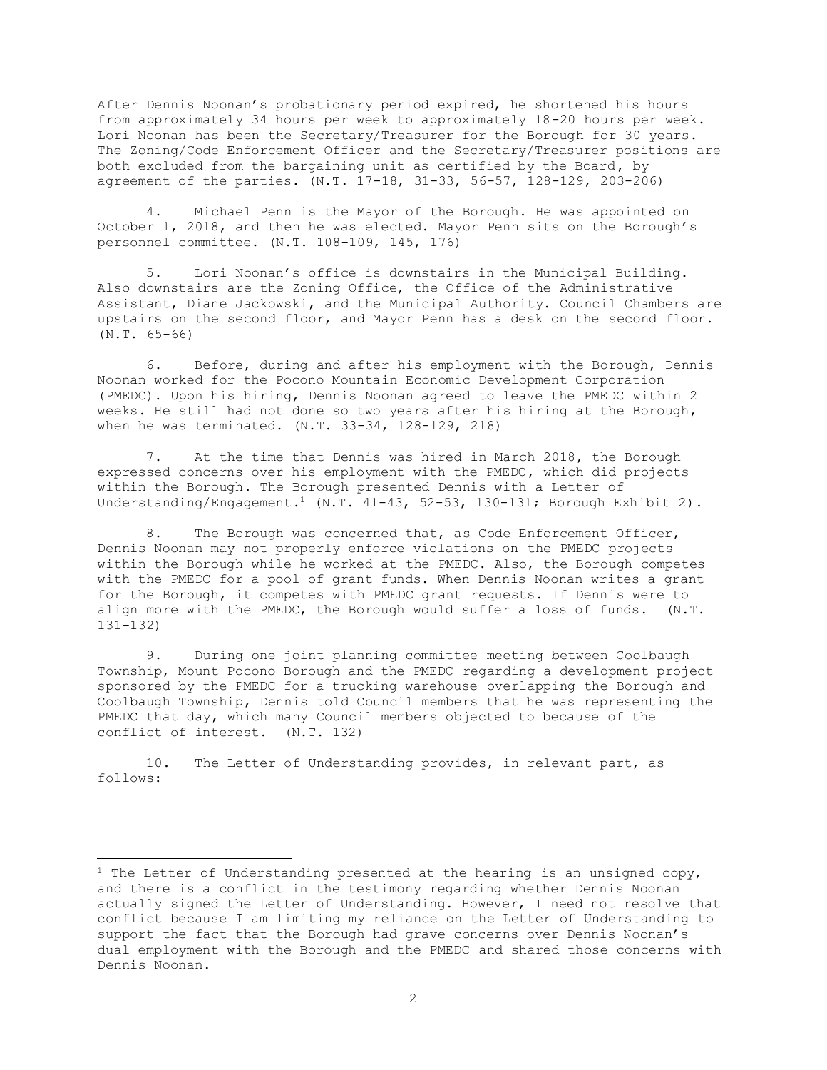After Dennis Noonan's probationary period expired, he shortened his hours from approximately 34 hours per week to approximately 18-20 hours per week. Lori Noonan has been the Secretary/Treasurer for the Borough for 30 years. The Zoning/Code Enforcement Officer and the Secretary/Treasurer positions are both excluded from the bargaining unit as certified by the Board, by agreement of the parties. (N.T. 17-18, 31-33, 56-57, 128-129, 203-206)

4. Michael Penn is the Mayor of the Borough. He was appointed on October 1, 2018, and then he was elected. Mayor Penn sits on the Borough's personnel committee. (N.T. 108-109, 145, 176)

5. Lori Noonan's office is downstairs in the Municipal Building. Also downstairs are the Zoning Office, the Office of the Administrative Assistant, Diane Jackowski, and the Municipal Authority. Council Chambers are upstairs on the second floor, and Mayor Penn has a desk on the second floor. (N.T. 65-66)

6. Before, during and after his employment with the Borough, Dennis Noonan worked for the Pocono Mountain Economic Development Corporation (PMEDC). Upon his hiring, Dennis Noonan agreed to leave the PMEDC within 2 weeks. He still had not done so two years after his hiring at the Borough, when he was terminated. (N.T. 33-34, 128-129, 218)

7. At the time that Dennis was hired in March 2018, the Borough expressed concerns over his employment with the PMEDC, which did projects within the Borough. The Borough presented Dennis with a Letter of Understanding/Engagement.<sup>1</sup> (N.T. 41-43, 52-53, 130-131; Borough Exhibit 2).

8. The Borough was concerned that, as Code Enforcement Officer, Dennis Noonan may not properly enforce violations on the PMEDC projects within the Borough while he worked at the PMEDC. Also, the Borough competes with the PMEDC for a pool of grant funds. When Dennis Noonan writes a grant for the Borough, it competes with PMEDC grant requests. If Dennis were to align more with the PMEDC, the Borough would suffer a loss of funds. (N.T. 131-132)

9. During one joint planning committee meeting between Coolbaugh Township, Mount Pocono Borough and the PMEDC regarding a development project sponsored by the PMEDC for a trucking warehouse overlapping the Borough and Coolbaugh Township, Dennis told Council members that he was representing the PMEDC that day, which many Council members objected to because of the conflict of interest. (N.T. 132)

10. The Letter of Understanding provides, in relevant part, as follows:

<sup>&</sup>lt;sup>1</sup> The Letter of Understanding presented at the hearing is an unsigned copy, and there is a conflict in the testimony regarding whether Dennis Noonan actually signed the Letter of Understanding. However, I need not resolve that conflict because I am limiting my reliance on the Letter of Understanding to support the fact that the Borough had grave concerns over Dennis Noonan's dual employment with the Borough and the PMEDC and shared those concerns with Dennis Noonan.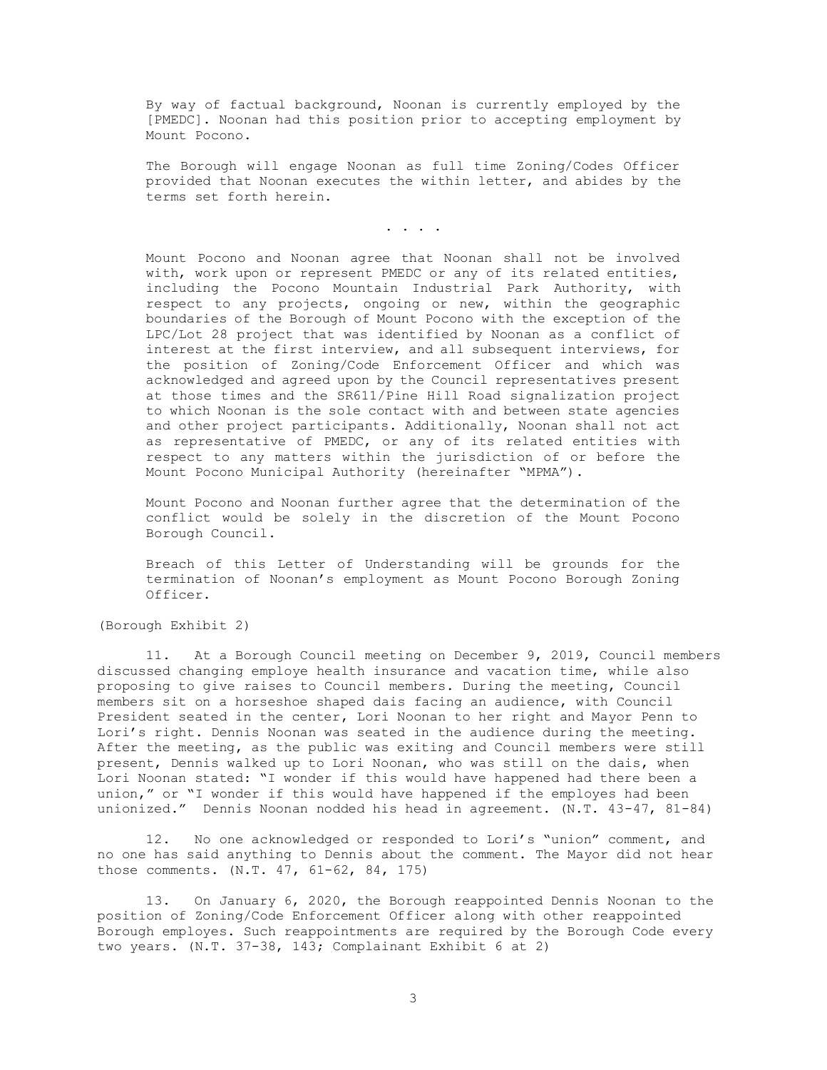By way of factual background, Noonan is currently employed by the [PMEDC]. Noonan had this position prior to accepting employment by Mount Pocono.

The Borough will engage Noonan as full time Zoning/Codes Officer provided that Noonan executes the within letter, and abides by the terms set forth herein.

. . . .

Mount Pocono and Noonan agree that Noonan shall not be involved with, work upon or represent PMEDC or any of its related entities, including the Pocono Mountain Industrial Park Authority, with respect to any projects, ongoing or new, within the geographic boundaries of the Borough of Mount Pocono with the exception of the LPC/Lot 28 project that was identified by Noonan as a conflict of interest at the first interview, and all subsequent interviews, for the position of Zoning/Code Enforcement Officer and which was acknowledged and agreed upon by the Council representatives present at those times and the SR611/Pine Hill Road signalization project to which Noonan is the sole contact with and between state agencies and other project participants. Additionally, Noonan shall not act as representative of PMEDC, or any of its related entities with respect to any matters within the jurisdiction of or before the Mount Pocono Municipal Authority (hereinafter "MPMA").

Mount Pocono and Noonan further agree that the determination of the conflict would be solely in the discretion of the Mount Pocono Borough Council.

Breach of this Letter of Understanding will be grounds for the termination of Noonan's employment as Mount Pocono Borough Zoning Officer.

(Borough Exhibit 2)

11. At a Borough Council meeting on December 9, 2019, Council members discussed changing employe health insurance and vacation time, while also proposing to give raises to Council members. During the meeting, Council members sit on a horseshoe shaped dais facing an audience, with Council President seated in the center, Lori Noonan to her right and Mayor Penn to Lori's right. Dennis Noonan was seated in the audience during the meeting. After the meeting, as the public was exiting and Council members were still present, Dennis walked up to Lori Noonan, who was still on the dais, when Lori Noonan stated: "I wonder if this would have happened had there been a union," or "I wonder if this would have happened if the employes had been unionized." Dennis Noonan nodded his head in agreement. (N.T. 43-47, 81-84)

12. No one acknowledged or responded to Lori's "union" comment, and no one has said anything to Dennis about the comment. The Mayor did not hear those comments. (N.T. 47, 61-62, 84, 175)

13. On January 6, 2020, the Borough reappointed Dennis Noonan to the position of Zoning/Code Enforcement Officer along with other reappointed Borough employes. Such reappointments are required by the Borough Code every two years. (N.T. 37-38, 143; Complainant Exhibit 6 at 2)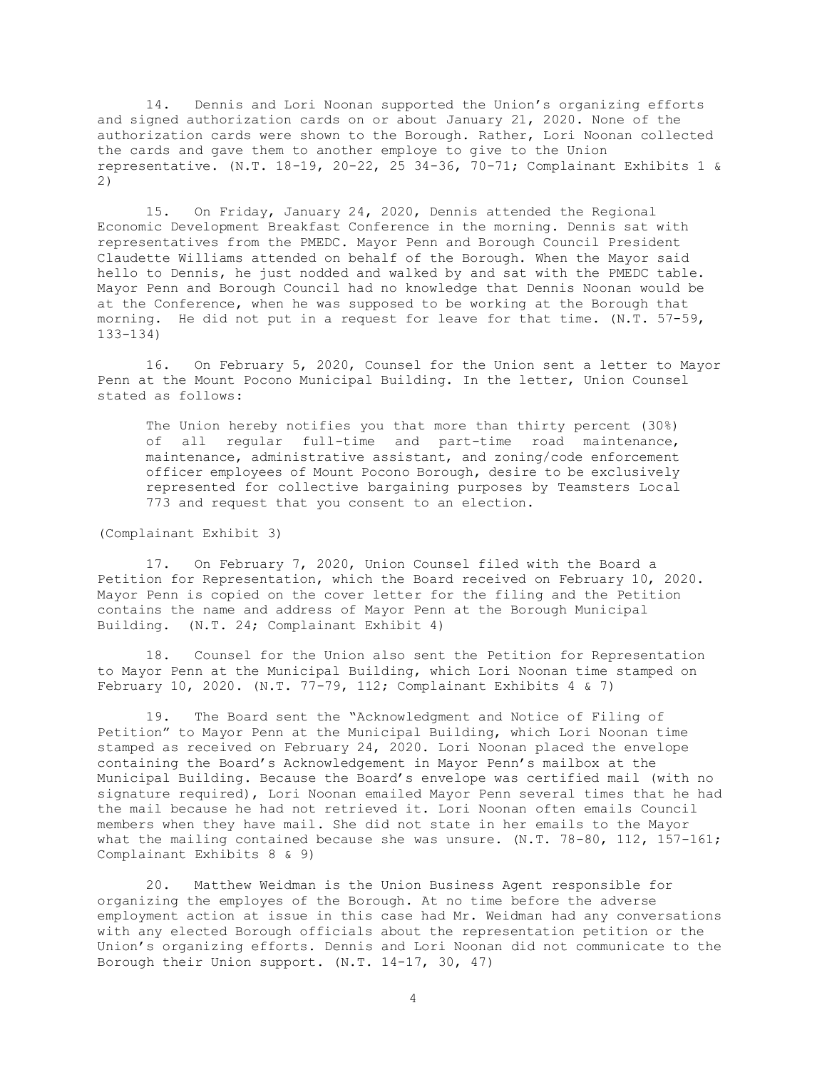14. Dennis and Lori Noonan supported the Union's organizing efforts and signed authorization cards on or about January 21, 2020. None of the authorization cards were shown to the Borough. Rather, Lori Noonan collected the cards and gave them to another employe to give to the Union representative. (N.T. 18-19, 20-22, 25 34-36, 70-71; Complainant Exhibits 1 & 2)

15. On Friday, January 24, 2020, Dennis attended the Regional Economic Development Breakfast Conference in the morning. Dennis sat with representatives from the PMEDC. Mayor Penn and Borough Council President Claudette Williams attended on behalf of the Borough. When the Mayor said hello to Dennis, he just nodded and walked by and sat with the PMEDC table. Mayor Penn and Borough Council had no knowledge that Dennis Noonan would be at the Conference, when he was supposed to be working at the Borough that morning. He did not put in a request for leave for that time. (N.T. 57-59, 133-134)

16. On February 5, 2020, Counsel for the Union sent a letter to Mayor Penn at the Mount Pocono Municipal Building. In the letter, Union Counsel stated as follows:

The Union hereby notifies you that more than thirty percent (30%) of all regular full-time and part-time road maintenance, maintenance, administrative assistant, and zoning/code enforcement officer employees of Mount Pocono Borough, desire to be exclusively represented for collective bargaining purposes by Teamsters Local 773 and request that you consent to an election.

(Complainant Exhibit 3)

17. On February 7, 2020, Union Counsel filed with the Board a Petition for Representation, which the Board received on February 10, 2020. Mayor Penn is copied on the cover letter for the filing and the Petition contains the name and address of Mayor Penn at the Borough Municipal Building. (N.T. 24; Complainant Exhibit 4)

18. Counsel for the Union also sent the Petition for Representation to Mayor Penn at the Municipal Building, which Lori Noonan time stamped on February 10, 2020. (N.T. 77-79, 112; Complainant Exhibits 4 & 7)

19. The Board sent the "Acknowledgment and Notice of Filing of Petition" to Mayor Penn at the Municipal Building, which Lori Noonan time stamped as received on February 24, 2020. Lori Noonan placed the envelope containing the Board's Acknowledgement in Mayor Penn's mailbox at the Municipal Building. Because the Board's envelope was certified mail (with no signature required), Lori Noonan emailed Mayor Penn several times that he had the mail because he had not retrieved it. Lori Noonan often emails Council members when they have mail. She did not state in her emails to the Mayor what the mailing contained because she was unsure. (N.T. 78-80, 112, 157-161; Complainant Exhibits 8 & 9)

20. Matthew Weidman is the Union Business Agent responsible for organizing the employes of the Borough. At no time before the adverse employment action at issue in this case had Mr. Weidman had any conversations with any elected Borough officials about the representation petition or the Union's organizing efforts. Dennis and Lori Noonan did not communicate to the Borough their Union support. (N.T. 14-17, 30, 47)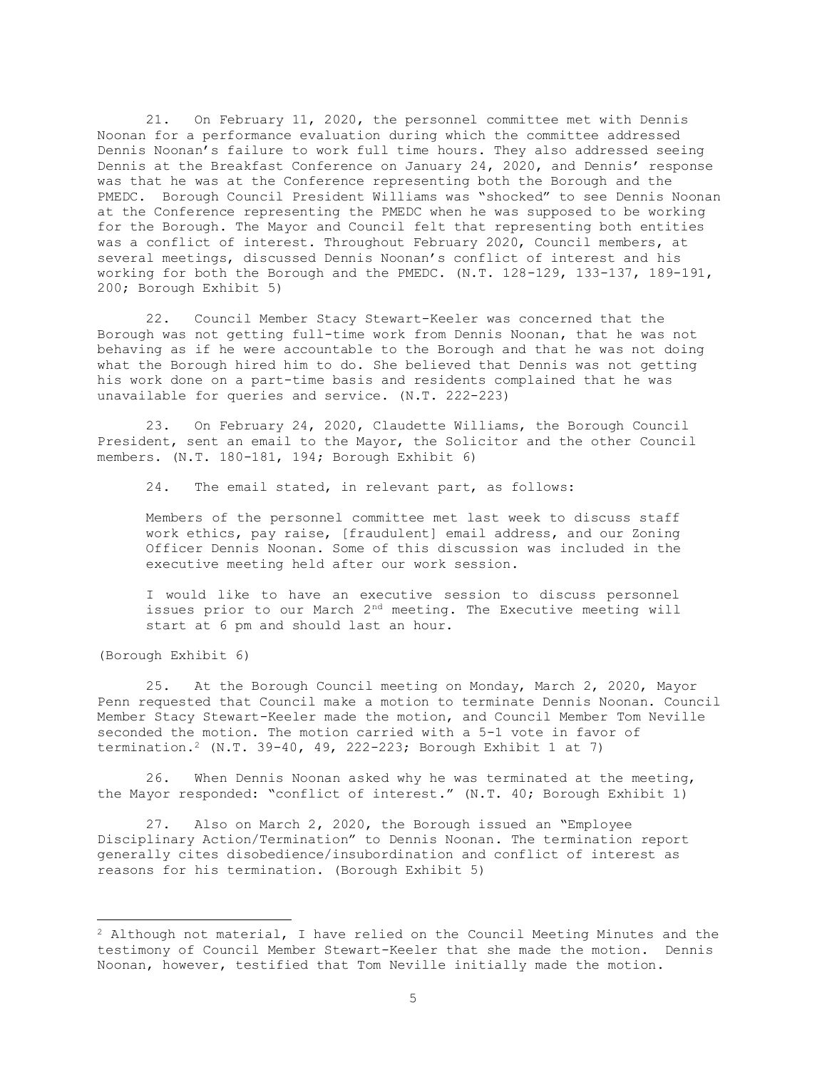21. On February 11, 2020, the personnel committee met with Dennis Noonan for a performance evaluation during which the committee addressed Dennis Noonan's failure to work full time hours. They also addressed seeing Dennis at the Breakfast Conference on January 24, 2020, and Dennis' response was that he was at the Conference representing both the Borough and the PMEDC. Borough Council President Williams was "shocked" to see Dennis Noonan at the Conference representing the PMEDC when he was supposed to be working for the Borough. The Mayor and Council felt that representing both entities was a conflict of interest. Throughout February 2020, Council members, at several meetings, discussed Dennis Noonan's conflict of interest and his working for both the Borough and the PMEDC. (N.T. 128-129, 133-137, 189-191, 200; Borough Exhibit 5)

22. Council Member Stacy Stewart-Keeler was concerned that the Borough was not getting full-time work from Dennis Noonan, that he was not behaving as if he were accountable to the Borough and that he was not doing what the Borough hired him to do. She believed that Dennis was not getting his work done on a part-time basis and residents complained that he was unavailable for queries and service. (N.T. 222-223)

23. On February 24, 2020, Claudette Williams, the Borough Council President, sent an email to the Mayor, the Solicitor and the other Council members. (N.T. 180-181, 194; Borough Exhibit 6)

24. The email stated, in relevant part, as follows:

Members of the personnel committee met last week to discuss staff work ethics, pay raise, [fraudulent] email address, and our Zoning Officer Dennis Noonan. Some of this discussion was included in the executive meeting held after our work session.

I would like to have an executive session to discuss personnel issues prior to our March 2<sup>nd</sup> meeting. The Executive meeting will start at 6 pm and should last an hour.

(Borough Exhibit 6)

25. At the Borough Council meeting on Monday, March 2, 2020, Mayor Penn requested that Council make a motion to terminate Dennis Noonan. Council Member Stacy Stewart-Keeler made the motion, and Council Member Tom Neville seconded the motion. The motion carried with a 5-1 vote in favor of termination.<sup>2</sup> (N.T. 39-40, 49, 222-223; Borough Exhibit 1 at 7)

26. When Dennis Noonan asked why he was terminated at the meeting, the Mayor responded: "conflict of interest." (N.T. 40; Borough Exhibit 1)

27. Also on March 2, 2020, the Borough issued an "Employee Disciplinary Action/Termination" to Dennis Noonan. The termination report generally cites disobedience/insubordination and conflict of interest as reasons for his termination. (Borough Exhibit 5)

 $2$  Although not material, I have relied on the Council Meeting Minutes and the testimony of Council Member Stewart-Keeler that she made the motion. Dennis Noonan, however, testified that Tom Neville initially made the motion.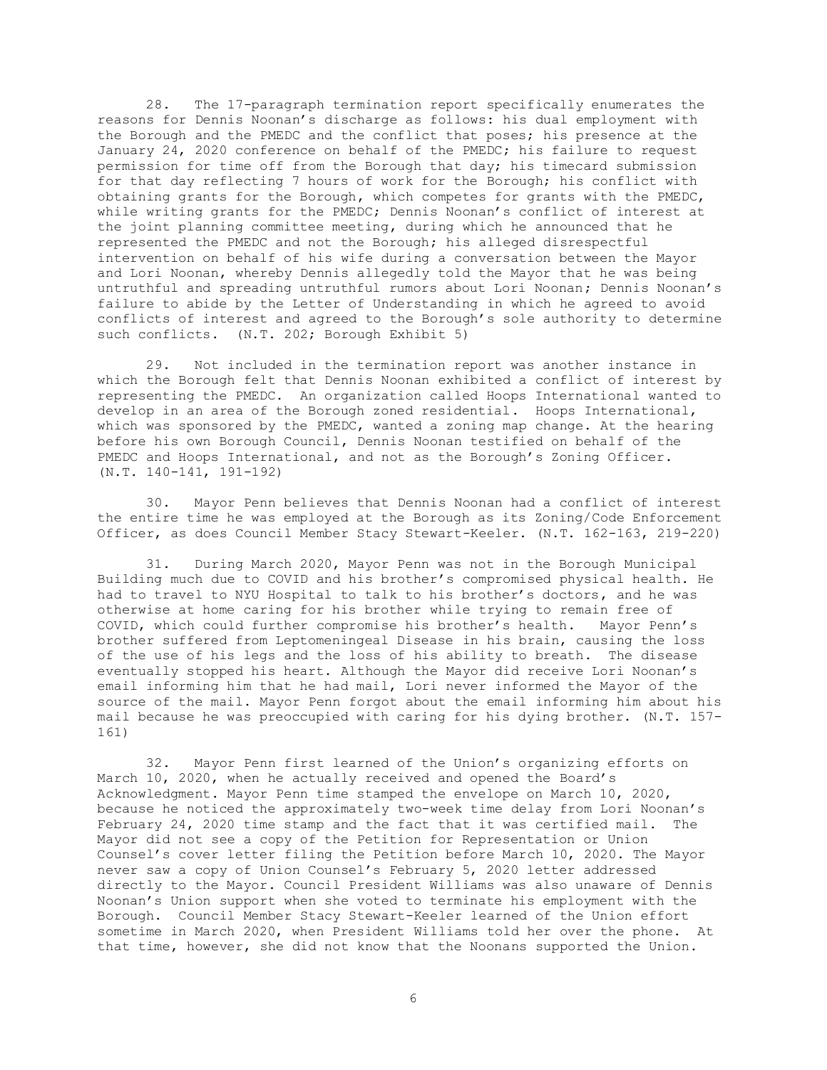28. The 17-paragraph termination report specifically enumerates the reasons for Dennis Noonan's discharge as follows: his dual employment with the Borough and the PMEDC and the conflict that poses; his presence at the January 24, 2020 conference on behalf of the PMEDC; his failure to request permission for time off from the Borough that day; his timecard submission for that day reflecting 7 hours of work for the Borough; his conflict with obtaining grants for the Borough, which competes for grants with the PMEDC, while writing grants for the PMEDC; Dennis Noonan's conflict of interest at the joint planning committee meeting, during which he announced that he represented the PMEDC and not the Borough; his alleged disrespectful intervention on behalf of his wife during a conversation between the Mayor and Lori Noonan, whereby Dennis allegedly told the Mayor that he was being untruthful and spreading untruthful rumors about Lori Noonan; Dennis Noonan's failure to abide by the Letter of Understanding in which he agreed to avoid conflicts of interest and agreed to the Borough's sole authority to determine such conflicts. (N.T. 202; Borough Exhibit 5)

29. Not included in the termination report was another instance in which the Borough felt that Dennis Noonan exhibited a conflict of interest by representing the PMEDC. An organization called Hoops International wanted to develop in an area of the Borough zoned residential. Hoops International, which was sponsored by the PMEDC, wanted a zoning map change. At the hearing before his own Borough Council, Dennis Noonan testified on behalf of the PMEDC and Hoops International, and not as the Borough's Zoning Officer. (N.T. 140-141, 191-192)

30. Mayor Penn believes that Dennis Noonan had a conflict of interest the entire time he was employed at the Borough as its Zoning/Code Enforcement Officer, as does Council Member Stacy Stewart-Keeler. (N.T. 162-163, 219-220)

31. During March 2020, Mayor Penn was not in the Borough Municipal Building much due to COVID and his brother's compromised physical health. He had to travel to NYU Hospital to talk to his brother's doctors, and he was otherwise at home caring for his brother while trying to remain free of COVID, which could further compromise his brother's health. Mayor Penn's brother suffered from Leptomeningeal Disease in his brain, causing the loss of the use of his legs and the loss of his ability to breath. The disease eventually stopped his heart. Although the Mayor did receive Lori Noonan's email informing him that he had mail, Lori never informed the Mayor of the source of the mail. Mayor Penn forgot about the email informing him about his mail because he was preoccupied with caring for his dying brother. (N.T. 157- 161)

32. Mayor Penn first learned of the Union's organizing efforts on March 10, 2020, when he actually received and opened the Board's Acknowledgment. Mayor Penn time stamped the envelope on March 10, 2020, because he noticed the approximately two-week time delay from Lori Noonan's February 24, 2020 time stamp and the fact that it was certified mail. The Mayor did not see a copy of the Petition for Representation or Union Counsel's cover letter filing the Petition before March 10, 2020. The Mayor never saw a copy of Union Counsel's February 5, 2020 letter addressed directly to the Mayor. Council President Williams was also unaware of Dennis Noonan's Union support when she voted to terminate his employment with the Borough. Council Member Stacy Stewart-Keeler learned of the Union effort sometime in March 2020, when President Williams told her over the phone. At that time, however, she did not know that the Noonans supported the Union.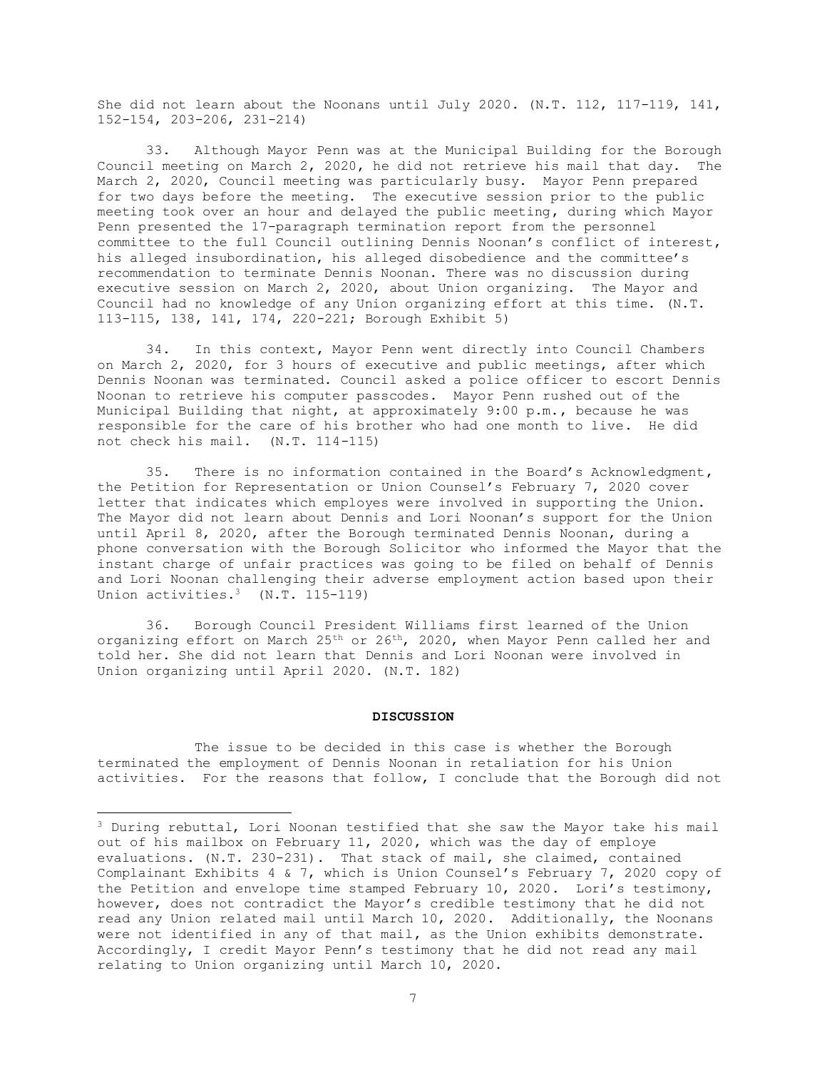She did not learn about the Noonans until July 2020. (N.T. 112, 117-119, 141, 152-154, 203-206, 231-214)

33. Although Mayor Penn was at the Municipal Building for the Borough Council meeting on March 2, 2020, he did not retrieve his mail that day. The March 2, 2020, Council meeting was particularly busy. Mayor Penn prepared for two days before the meeting. The executive session prior to the public meeting took over an hour and delayed the public meeting, during which Mayor Penn presented the 17-paragraph termination report from the personnel committee to the full Council outlining Dennis Noonan's conflict of interest, his alleged insubordination, his alleged disobedience and the committee's recommendation to terminate Dennis Noonan. There was no discussion during executive session on March 2, 2020, about Union organizing. The Mayor and Council had no knowledge of any Union organizing effort at this time. (N.T. 113-115, 138, 141, 174, 220-221; Borough Exhibit 5)

34. In this context, Mayor Penn went directly into Council Chambers on March 2, 2020, for 3 hours of executive and public meetings, after which Dennis Noonan was terminated. Council asked a police officer to escort Dennis Noonan to retrieve his computer passcodes. Mayor Penn rushed out of the Municipal Building that night, at approximately 9:00 p.m., because he was responsible for the care of his brother who had one month to live. He did not check his mail. (N.T. 114-115)

35. There is no information contained in the Board's Acknowledgment, the Petition for Representation or Union Counsel's February 7, 2020 cover letter that indicates which employes were involved in supporting the Union. The Mayor did not learn about Dennis and Lori Noonan's support for the Union until April 8, 2020, after the Borough terminated Dennis Noonan, during a phone conversation with the Borough Solicitor who informed the Mayor that the instant charge of unfair practices was going to be filed on behalf of Dennis and Lori Noonan challenging their adverse employment action based upon their Union activities.<sup>3</sup> (N.T. 115-119)

36. Borough Council President Williams first learned of the Union organizing effort on March 25<sup>th</sup> or 26<sup>th</sup>, 2020, when Mayor Penn called her and told her. She did not learn that Dennis and Lori Noonan were involved in Union organizing until April 2020. (N.T. 182)

### **DISCUSSION**

The issue to be decided in this case is whether the Borough terminated the employment of Dennis Noonan in retaliation for his Union activities. For the reasons that follow, I conclude that the Borough did not

<sup>&</sup>lt;sup>3</sup> During rebuttal, Lori Noonan testified that she saw the Mayor take his mail out of his mailbox on February 11, 2020, which was the day of employe evaluations. (N.T. 230-231). That stack of mail, she claimed, contained Complainant Exhibits 4 & 7, which is Union Counsel's February 7, 2020 copy of the Petition and envelope time stamped February 10, 2020. Lori's testimony, however, does not contradict the Mayor's credible testimony that he did not read any Union related mail until March 10, 2020. Additionally, the Noonans were not identified in any of that mail, as the Union exhibits demonstrate. Accordingly, I credit Mayor Penn's testimony that he did not read any mail relating to Union organizing until March 10, 2020.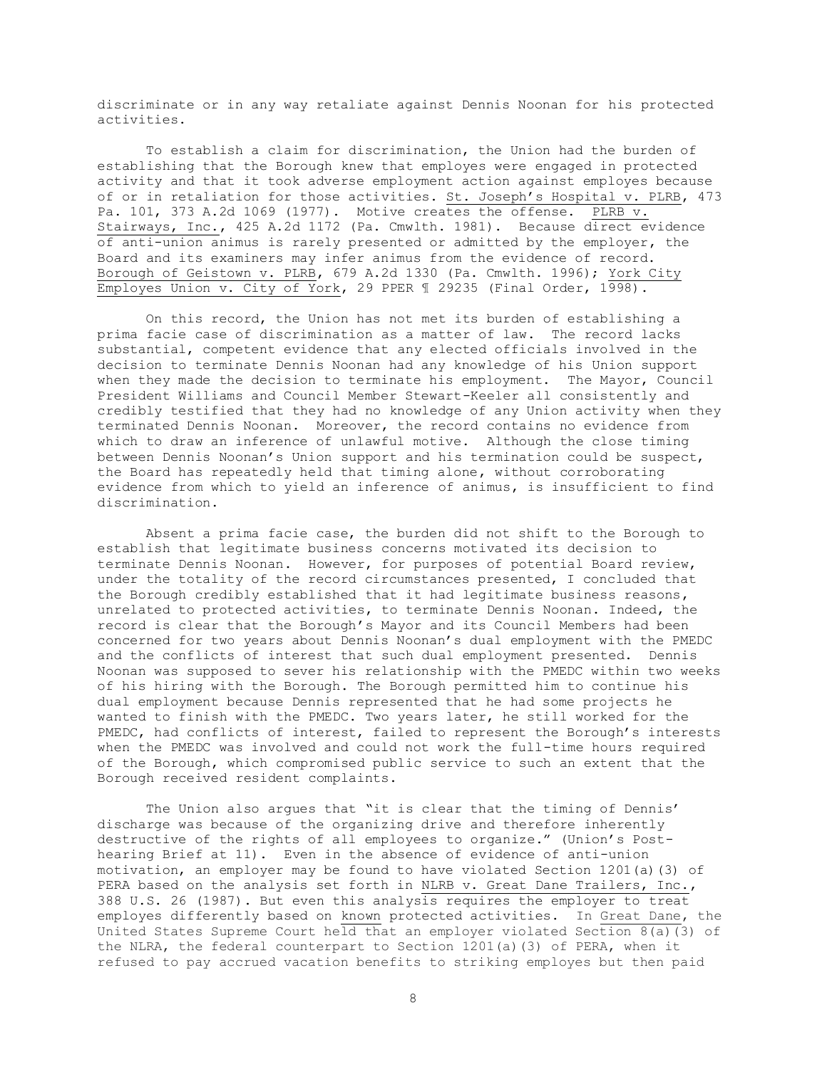discriminate or in any way retaliate against Dennis Noonan for his protected activities.

To establish a claim for discrimination, the Union had the burden of establishing that the Borough knew that employes were engaged in protected activity and that it took adverse employment action against employes because of or in retaliation for those activities. St. Joseph's Hospital v. PLRB, 473 Pa. 101, 373 A.2d 1069 (1977). Motive creates the offense. PLRB v. Stairways, Inc., 425 A.2d 1172 (Pa. Cmwlth. 1981).Because direct evidence of anti-union animus is rarely presented or admitted by the employer, the Board and its examiners may infer animus from the evidence of record. Borough of Geistown v. PLRB, 679 A.2d 1330 (Pa. Cmwlth. 1996); York City Employes Union v. City of York, 29 PPER ¶ 29235 (Final Order, 1998).

On this record, the Union has not met its burden of establishing a prima facie case of discrimination as a matter of law. The record lacks substantial, competent evidence that any elected officials involved in the decision to terminate Dennis Noonan had any knowledge of his Union support when they made the decision to terminate his employment. The Mayor, Council President Williams and Council Member Stewart-Keeler all consistently and credibly testified that they had no knowledge of any Union activity when they terminated Dennis Noonan. Moreover, the record contains no evidence from which to draw an inference of unlawful motive. Although the close timing between Dennis Noonan's Union support and his termination could be suspect, the Board has repeatedly held that timing alone, without corroborating evidence from which to yield an inference of animus, is insufficient to find discrimination.

Absent a prima facie case, the burden did not shift to the Borough to establish that legitimate business concerns motivated its decision to terminate Dennis Noonan. However, for purposes of potential Board review, under the totality of the record circumstances presented, I concluded that the Borough credibly established that it had legitimate business reasons, unrelated to protected activities, to terminate Dennis Noonan. Indeed, the record is clear that the Borough's Mayor and its Council Members had been concerned for two years about Dennis Noonan's dual employment with the PMEDC and the conflicts of interest that such dual employment presented. Dennis Noonan was supposed to sever his relationship with the PMEDC within two weeks of his hiring with the Borough. The Borough permitted him to continue his dual employment because Dennis represented that he had some projects he wanted to finish with the PMEDC. Two years later, he still worked for the PMEDC, had conflicts of interest, failed to represent the Borough's interests when the PMEDC was involved and could not work the full-time hours required of the Borough, which compromised public service to such an extent that the Borough received resident complaints.

The Union also argues that "it is clear that the timing of Dennis' discharge was because of the organizing drive and therefore inherently destructive of the rights of all employees to organize." (Union's Posthearing Brief at 11). Even in the absence of evidence of anti-union motivation, an employer may be found to have violated Section 1201(a)(3) of PERA based on the analysis set forth in NLRB v. Great Dane Trailers, Inc., 388 U.S. 26 (1987). But even this analysis requires the employer to treat employes differently based on known protected activities. In Great Dane, the United States Supreme Court held that an employer violated Section 8(a)(3) of the NLRA, the federal counterpart to Section 1201(a)(3) of PERA, when it refused to pay accrued vacation benefits to striking employes but then paid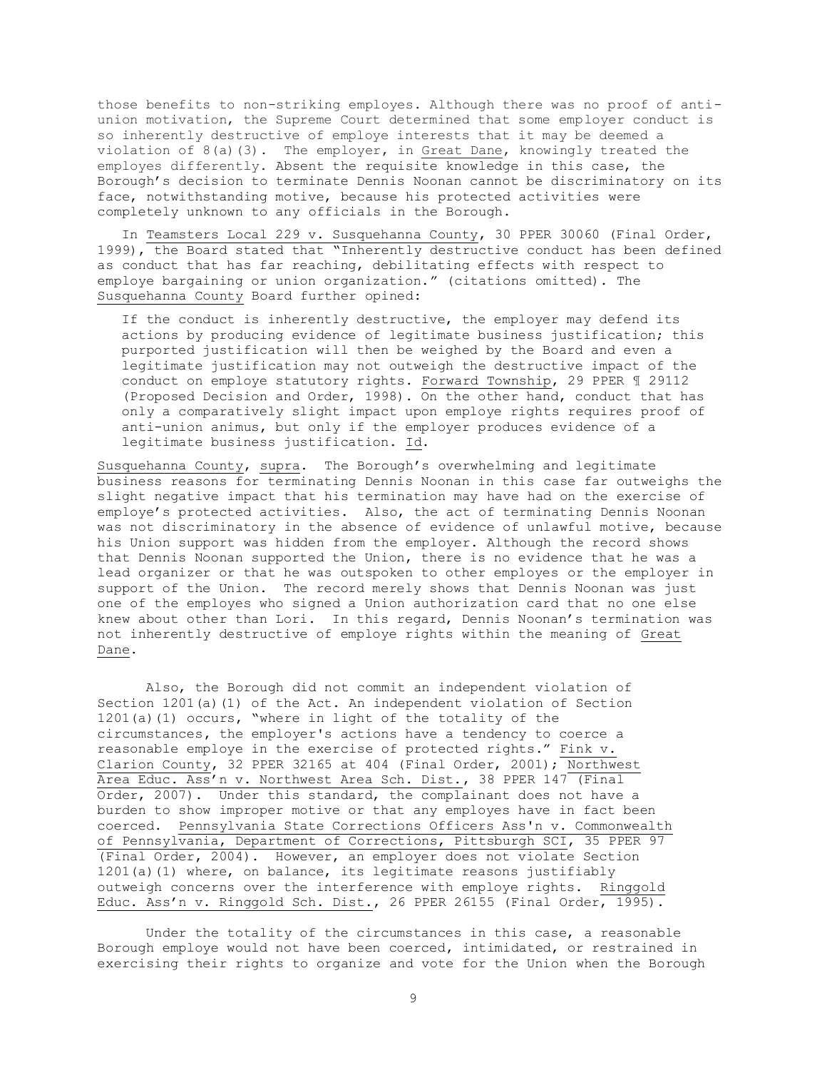those benefits to non-striking employes. Although there was no proof of antiunion motivation, the Supreme Court determined that some employer conduct is so inherently destructive of employe interests that it may be deemed a violation of  $8(a)(3)$ . The employer, in Great Dane, knowingly treated the employes differently. Absent the requisite knowledge in this case, the Borough's decision to terminate Dennis Noonan cannot be discriminatory on its face, notwithstanding motive, because his protected activities were completely unknown to any officials in the Borough.

In Teamsters Local 229 v. Susquehanna County, 30 PPER 30060 (Final Order, 1999), the Board stated that "Inherently destructive conduct has been defined as conduct that has far reaching, debilitating effects with respect to employe bargaining or union organization." (citations omitted). The Susquehanna County Board further opined:

If the conduct is inherently destructive, the employer may defend its actions by producing evidence of legitimate business justification; this purported justification will then be weighed by the Board and even a legitimate justification may not outweigh the destructive impact of the conduct on employe statutory rights. Forward Township, 29 PPER ¶ 29112 (Proposed Decision and Order, 1998). On the other hand, conduct that has only a comparatively slight impact upon employe rights requires proof of anti-union animus, but only if the employer produces evidence of a legitimate business justification. Id.

Susquehanna County, supra. The Borough's overwhelming and legitimate business reasons for terminating Dennis Noonan in this case far outweighs the slight negative impact that his termination may have had on the exercise of employe's protected activities. Also, the act of terminating Dennis Noonan was not discriminatory in the absence of evidence of unlawful motive, because his Union support was hidden from the employer. Although the record shows that Dennis Noonan supported the Union, there is no evidence that he was a lead organizer or that he was outspoken to other employes or the employer in support of the Union. The record merely shows that Dennis Noonan was just one of the employes who signed a Union authorization card that no one else knew about other than Lori. In this regard, Dennis Noonan's termination was not inherently destructive of employe rights within the meaning of Great Dane.

Also, the Borough did not commit an independent violation of Section 1201(a)(1) of the Act. An independent violation of Section 1201(a)(1) occurs, "where in light of the totality of the circumstances**,** the employer's actions have a tendency to coerce a reasonable employe in the exercise of protected rights." Fink v. Clarion County, 32 PPER 32165 at 404 (Final Order, 2001); Northwest Area Educ. Ass'n v. Northwest Area Sch. Dist., 38 PPER 147 (Final Order, 2007). Under this standard, the complainant does not have a burden to show improper motive or that any employes have in fact been coerced. Pennsylvania State Corrections Officers Ass'n v. Commonwealth of Pennsylvania, Department of Corrections, Pittsburgh SCI, 35 PPER 97 (Final Order, 2004). However, an employer does not violate Section 1201(a)(1) where, on balance, its legitimate reasons justifiably outweigh concerns over the interference with employe rights. Ringgold Educ. Ass'n v. Ringgold Sch. Dist., 26 PPER 26155 (Final Order, 1995).

Under the totality of the circumstances in this case, a reasonable Borough employe would not have been coerced, intimidated, or restrained in exercising their rights to organize and vote for the Union when the Borough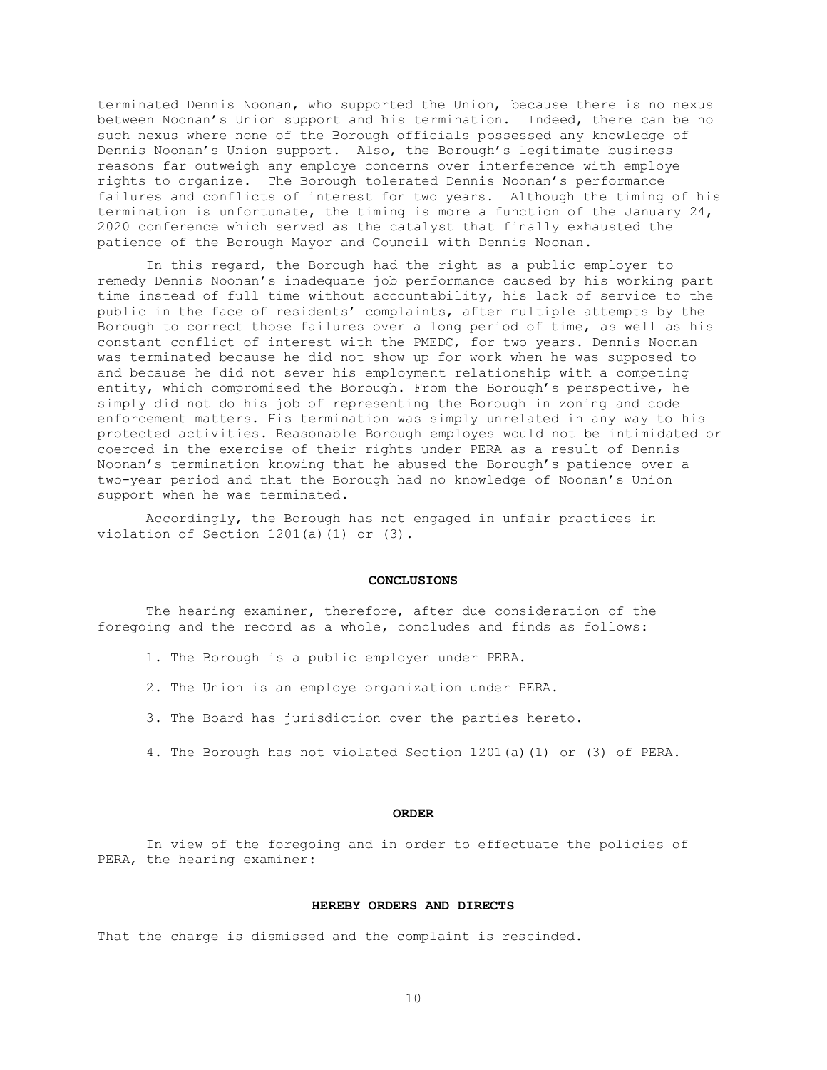terminated Dennis Noonan, who supported the Union, because there is no nexus between Noonan's Union support and his termination. Indeed, there can be no such nexus where none of the Borough officials possessed any knowledge of Dennis Noonan's Union support. Also, the Borough's legitimate business reasons far outweigh any employe concerns over interference with employe rights to organize. The Borough tolerated Dennis Noonan's performance failures and conflicts of interest for two years. Although the timing of his termination is unfortunate, the timing is more a function of the January 24, 2020 conference which served as the catalyst that finally exhausted the patience of the Borough Mayor and Council with Dennis Noonan.

In this regard, the Borough had the right as a public employer to remedy Dennis Noonan's inadequate job performance caused by his working part time instead of full time without accountability, his lack of service to the public in the face of residents' complaints, after multiple attempts by the Borough to correct those failures over a long period of time, as well as his constant conflict of interest with the PMEDC, for two years. Dennis Noonan was terminated because he did not show up for work when he was supposed to and because he did not sever his employment relationship with a competing entity, which compromised the Borough. From the Borough's perspective, he simply did not do his job of representing the Borough in zoning and code enforcement matters. His termination was simply unrelated in any way to his protected activities. Reasonable Borough employes would not be intimidated or coerced in the exercise of their rights under PERA as a result of Dennis Noonan's termination knowing that he abused the Borough's patience over a two-year period and that the Borough had no knowledge of Noonan's Union support when he was terminated.

Accordingly, the Borough has not engaged in unfair practices in violation of Section 1201(a)(1) or (3).

#### **CONCLUSIONS**

The hearing examiner, therefore, after due consideration of the foregoing and the record as a whole, concludes and finds as follows:

- 1. The Borough is a public employer under PERA.
- 2. The Union is an employe organization under PERA.
- 3. The Board has jurisdiction over the parties hereto.
- 4. The Borough has not violated Section 1201(a)(1) or (3) of PERA.

#### **ORDER**

In view of the foregoing and in order to effectuate the policies of PERA, the hearing examiner:

### **HEREBY ORDERS AND DIRECTS**

That the charge is dismissed and the complaint is rescinded.